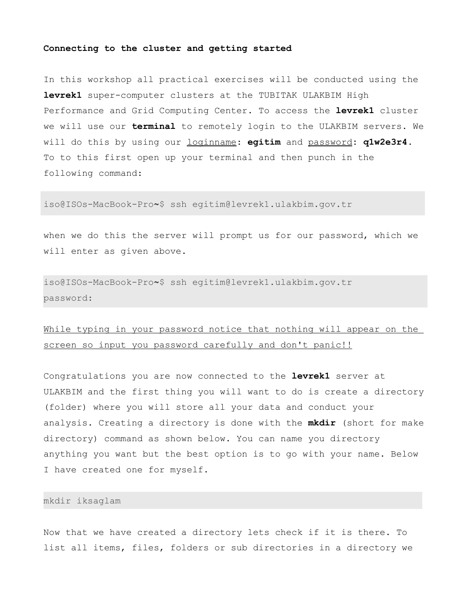#### **Connecting to the cluster and getting started**

In this workshop all practical exercises will be conducted using the **levrek1** super-computer clusters at the TUBITAK ULAKBIM High Performance and Grid Computing Center. To access the **levrek1** cluster we will use our **terminal** to remotely login to the ULAKBIM servers. We will do this by using our loginname: **egitim** and password**: q1w2e3r4**. To to this first open up your terminal and then punch in the following command:

iso@ISOs-MacBook-Pro**~**\$ ssh egitim@levrek1.ulakbim.gov.tr

when we do this the server will prompt us for our password, which we will enter as given above.

iso@ISOs-MacBook-Pro**~**\$ ssh egitim@levrek1.ulakbim.gov.tr password:

# While typing in your password notice that nothing will appear on the screen so input you password carefully and don't panic!!

Congratulations you are now connected to the **levrek1** server at ULAKBIM and the first thing you will want to do is create a directory (folder) where you will store all your data and conduct your analysis. Creating a directory is done with the **mkdir** (short for make directory) command as shown below. You can name you directory anything you want but the best option is to go with your name. Below I have created one for myself.

## mkdir iksaglam

Now that we have created a directory lets check if it is there. To list all items, files, folders or sub directories in a directory we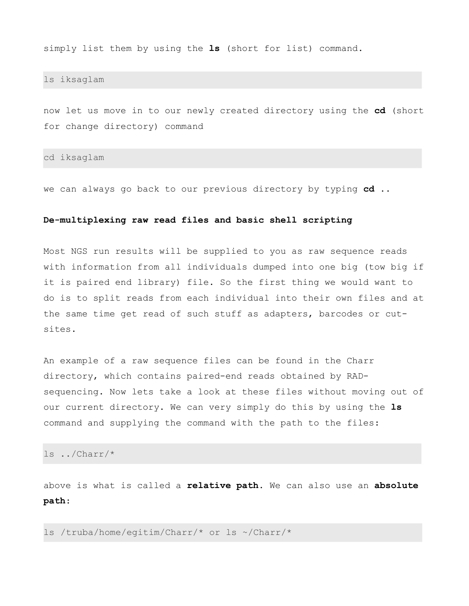simply list them by using the **ls** (short for list) command.

ls iksaglam

now let us move in to our newly created directory using the **cd** (short for change directory) command

cd iksaglam

we can always go back to our previous directory by typing **cd ..**

#### **De-multiplexing raw read files and basic shell scripting**

Most NGS run results will be supplied to you as raw sequence reads with information from all individuals dumped into one big (tow big if it is paired end library) file. So the first thing we would want to do is to split reads from each individual into their own files and at the same time get read of such stuff as adapters, barcodes or cutsites.

An example of a raw sequence files can be found in the Charr directory, which contains paired-end reads obtained by RADsequencing. Now lets take a look at these files without moving out of our current directory. We can very simply do this by using the **ls** command and supplying the command with the path to the files:

ls ../Charr/\*

above is what is called a **relative path**. We can also use an **absolute path**:

ls /truba/home/egitim/Charr/\* or ls ~/Charr/\*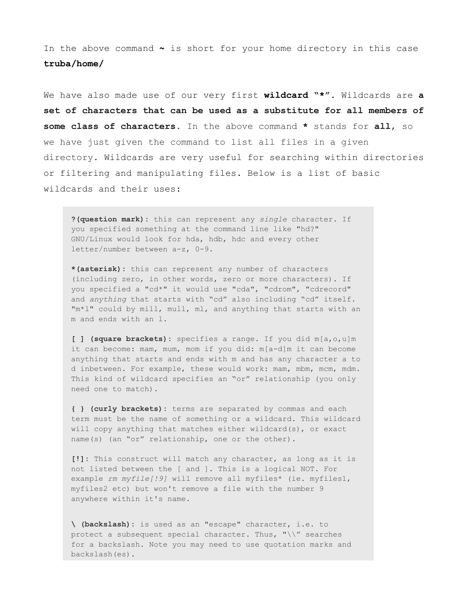In the above command **~** is short for your home directory in this case **truba/home/**

We have also made use of our very first **wildcard "\*"**. Wildcards are **a set of characters that can be used as a substitute for all members of some class of characters.** In the above command **\*** stands for **all**, so we have just given the command to list all files in a given directory. Wildcards are very useful for searching within directories or filtering and manipulating files. Below is a list of basic wildcards and their uses:

**?(question mark):** this can represent any *single* character. If you specified something at the command line like "hd?" GNU/Linux would look for hda, hdb, hdc and every other letter/number between a-z, 0-9.

**\*(asterisk):** this can represent any number of characters (including zero, in other words, zero or more characters). If you specified a "cd\*" it would use "cda", "cdrom", "cdrecord" and *anything* that starts with "cd" also including "cd" itself. "m\*l" could by mill, mull, ml, and anything that starts with an m and ends with an l.

**[ ] (square brackets):** specifies a range. If you did m[a,o,u]m it can become: mam, mum, mom if you did: m[a-d]m it can become anything that starts and ends with m and has any character a to d inbetween. For example, these would work: mam, mbm, mcm, mdm. This kind of wildcard specifies an "or" relationship (you only need one to match).

**{ } (curly brackets):** terms are separated by commas and each term must be the name of something or a wildcard. This wildcard will copy anything that matches either wildcard(s), or exact name(s) (an "or" relationship, one or the other).

**[!]:** This construct will match any character, as long as it is not listed between the [ and ]. This is a logical NOT. For example *rm myfile[!9]* will remove all myfiles\* (ie. myfiles1, myfiles2 etc) but won't remove a file with the number 9 anywhere within it's name.

**\ (backslash):** is used as an "escape" character, i.e. to protect a subsequent special character. Thus, " $\setminus\$ " searches for a backslash. Note you may need to use quotation marks and backslash(es).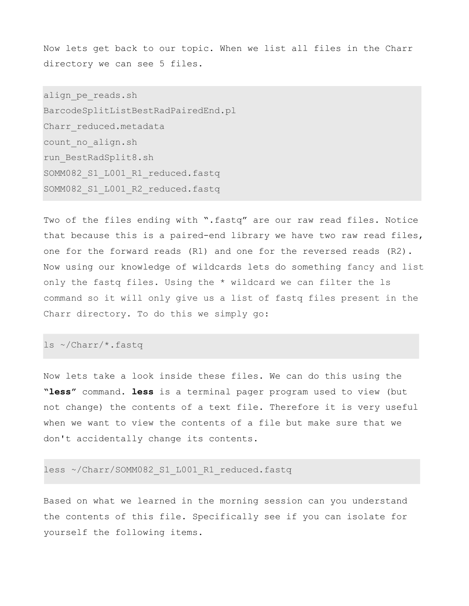Now lets get back to our topic. When we list all files in the Charr directory we can see 5 files.

align pe reads.sh BarcodeSplitListBestRadPairedEnd.pl Charr reduced.metadata count\_no\_align.sh run\_BestRadSplit8.sh SOMM082\_S1\_L001\_R1\_reduced.fastq SOMM082\_S1\_L001\_R2\_reduced.fastq

Two of the files ending with ".fastq" are our raw read files. Notice that because this is a paired-end library we have two raw read files, one for the forward reads (R1) and one for the reversed reads (R2). Now using our knowledge of wildcards lets do something fancy and list only the fastq files. Using the \* wildcard we can filter the ls command so it will only give us a list of fastq files present in the Charr directory. To do this we simply go:

# ls ~/Charr/\*.fastq

Now lets take a look inside these files. We can do this using the **"less"** command. **less** is a terminal pager program used to view (but not change) the contents of a text file. Therefore it is very useful when we want to view the contents of a file but make sure that we don't accidentally change its contents.

#### less ~/Charr/SOMM082 S1 L001 R1 reduced.fastq

Based on what we learned in the morning session can you understand the contents of this file. Specifically see if you can isolate for yourself the following items.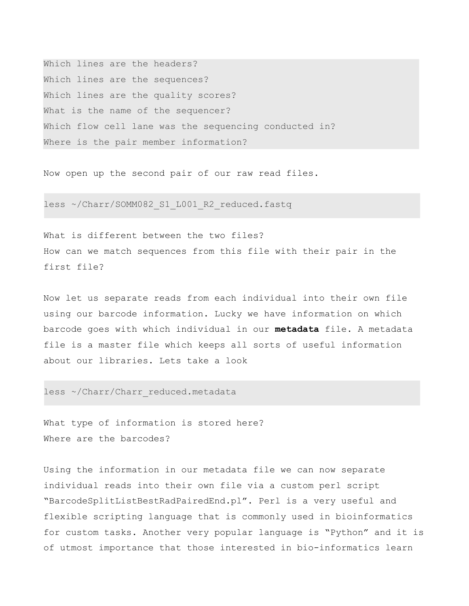Which lines are the headers? Which lines are the sequences? Which lines are the quality scores? What is the name of the sequencer? Which flow cell lane was the sequencing conducted in? Where is the pair member information?

Now open up the second pair of our raw read files.

less ~/Charr/SOMM082 S1 L001 R2 reduced.fastq

What is different between the two files? How can we match sequences from this file with their pair in the first file?

Now let us separate reads from each individual into their own file using our barcode information. Lucky we have information on which barcode goes with which individual in our **metadata** file. A metadata file is a master file which keeps all sorts of useful information about our libraries. Lets take a look

less ~/Charr/Charr reduced.metadata

What type of information is stored here? Where are the barcodes?

Using the information in our metadata file we can now separate individual reads into their own file via a custom perl script "BarcodeSplitListBestRadPairedEnd.pl". Perl is a very useful and flexible scripting language that is commonly used in bioinformatics for custom tasks. Another very popular language is "Python" and it is of utmost importance that those interested in bio-informatics learn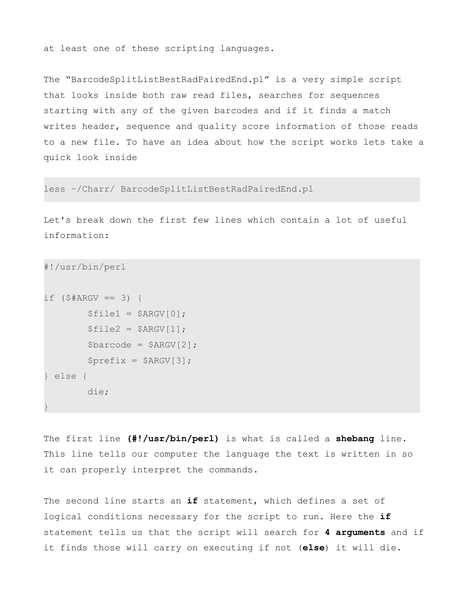at least one of these scripting languages.

The "BarcodeSplitListBestRadPairedEnd.pl" is a very simple script that looks inside both raw read files, searches for sequences starting with any of the given barcodes and if it finds a match writes header, sequence and quality score information of those reads to a new file. To have an idea about how the script works lets take a quick look inside

less ~/Charr/ BarcodeSplitListBestRadPairedEnd.pl

Let's break down the first few lines which contain a lot of useful information:

```
#!/usr/bin/perl
if ($#ARGV == 3) {
        $file1 = $ARGV[0];$file2 = $ARGV[1];$barcode = $ARGV[2];$prefix = $ARGV[3];} else {
         die; 
}
```
The first line **(#!/usr/bin/perl)** is what is called a **shebang** line. This line tells our computer the language the text is written in so it can properly interpret the commands.

The second line starts an **if** statement, which defines a set of logical conditions necessary for the script to run. Here the **if**  statement tells us that the script will search for **4 arguments** and if it finds those will carry on executing if not (**else**) it will die.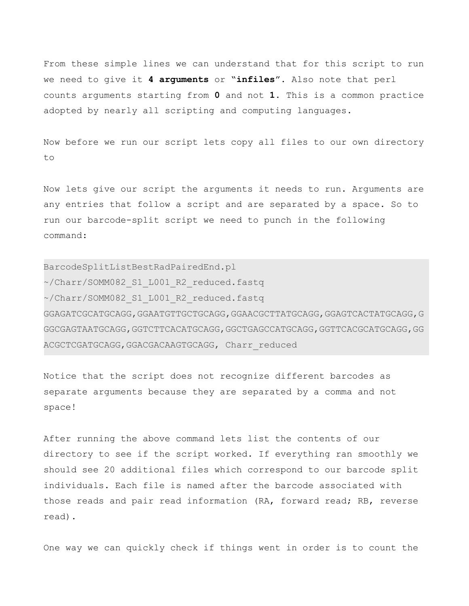From these simple lines we can understand that for this script to run we need to give it **4 arguments** or "**infiles**". Also note that perl counts arguments starting from **0** and not **1**. This is a common practice adopted by nearly all scripting and computing languages.

Now before we run our script lets copy all files to our own directory to

Now lets give our script the arguments it needs to run. Arguments are any entries that follow a script and are separated by a space. So to run our barcode-split script we need to punch in the following command:

BarcodeSplitListBestRadPairedEnd.pl ~/Charr/SOMM082\_S1\_L001\_R2\_reduced.fastq ~/Charr/SOMM082\_S1\_L001\_R2\_reduced.fastq GGAGATCGCATGCAGG,GGAATGTTGCTGCAGG,GGAACGCTTATGCAGG,GGAGTCACTATGCAGG,G GGCGAGTAATGCAGG,GGTCTTCACATGCAGG,GGCTGAGCCATGCAGG,GGTTCACGCATGCAGG,GG ACGCTCGATGCAGG,GGACGACAAGTGCAGG, Charr\_reduced

Notice that the script does not recognize different barcodes as separate arguments because they are separated by a comma and not space!

After running the above command lets list the contents of our directory to see if the script worked. If everything ran smoothly we should see 20 additional files which correspond to our barcode split individuals. Each file is named after the barcode associated with those reads and pair read information (RA, forward read; RB, reverse read).

One way we can quickly check if things went in order is to count the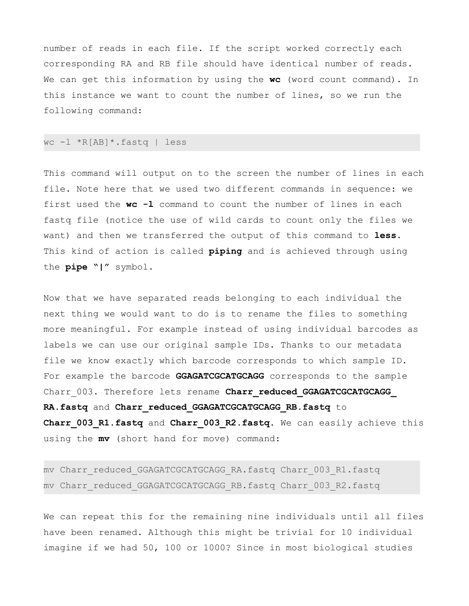number of reads in each file. If the script worked correctly each corresponding RA and RB file should have identical number of reads. We can get this information by using the **wc** (word count command). In this instance we want to count the number of lines, so we run the following command:

#### wc -l \*R[AB]\*.fastq | less

This command will output on to the screen the number of lines in each file. Note here that we used two different commands in sequence: we first used the **wc -l** command to count the number of lines in each fastq file (notice the use of wild cards to count only the files we want) and then we transferred the output of this command to **less**. This kind of action is called **piping** and is achieved through using the **pipe "|"** symbol.

Now that we have separated reads belonging to each individual the next thing we would want to do is to rename the files to something more meaningful. For example instead of using individual barcodes as labels we can use our original sample IDs. Thanks to our metadata file we know exactly which barcode corresponds to which sample ID. For example the barcode **GGAGATCGCATGCAGG** corresponds to the sample Charr 003. Therefore lets rename **Charr reduced GGAGATCGCATGCAGG RA.fastq** and **Charr\_reduced\_GGAGATCGCATGCAGG\_RB.fastq** to **Charr\_003\_R1.fastq** and **Charr\_003\_R2.fastq.** We can easily achieve this using the **mv** (short hand for move) command:

mv Charr reduced GGAGATCGCATGCAGG RA.fastq Charr 003 R1.fastq mv Charr reduced GGAGATCGCATGCAGG RB.fastq Charr 003 R2.fastq

We can repeat this for the remaining nine individuals until all files have been renamed. Although this might be trivial for 10 individual imagine if we had 50, 100 or 1000? Since in most biological studies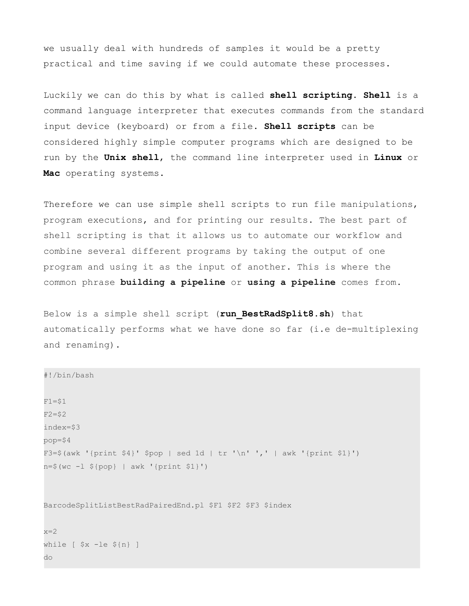we usually deal with hundreds of samples it would be a pretty practical and time saving if we could automate these processes.

Luckily we can do this by what is called **shell scripting**. **Shell** is a command language interpreter that executes commands from the standard input device (keyboard) or from a file. **Shell scripts** can be considered highly simple computer programs which are designed to be run by the **Unix shell**, the command line interpreter used in **Linux** or **Mac** operating systems.

Therefore we can use simple shell scripts to run file manipulations, program executions, and for printing our results. The best part of shell scripting is that it allows us to automate our workflow and combine several different programs by taking the output of one program and using it as the input of another. This is where the common phrase **building a pipeline** or **using a pipeline** comes from.

Below is a simple shell script (**run\_BestRadSplit8.sh**) that automatically performs what we have done so far (i.e de-multiplexing and renaming).

```
#!/bin/bash
F1 = $1F2 = $2index=$3
pop=$4
F3=\S(awk '{print \S4}' Spop | sed 1d | tr '\n' ',' | awk '{print \S1}')
n=$(wc -l ${pop} | awk '{print $1}')
```
BarcodeSplitListBestRadPairedEnd.pl \$F1 \$F2 \$F3 \$index

 $x=2$ while [ \$x -le \${n} ] do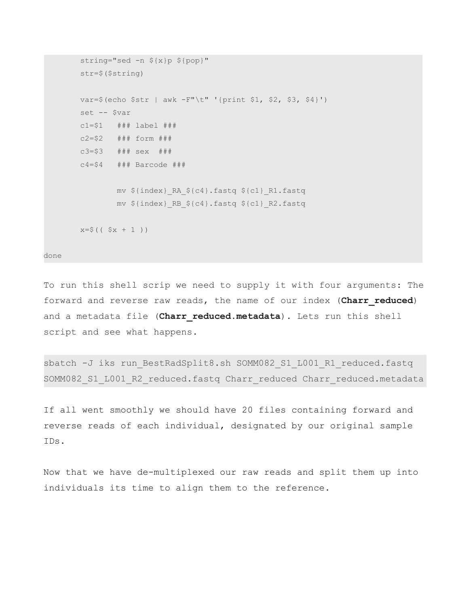```
string="sed -n ${x}p ${pop}"
 str=$($string)
 var=$(echo $str | awk -F"\t" '{print $1, $2, $3, $4}')
 set -- $var
 c1=$1 ### label ###
 c2=$2 ### form ###
 c3=$3 ### sex ###
c4 = $4 ### Barcode ###
         mv ${index}_RA_${c4}.fastq ${c1}_R1.fastq 
         mv ${index}_RB_${c4}.fastq ${c1}_R2.fastq 
x= $ (( 5x + 1 ))
```
done

To run this shell scrip we need to supply it with four arguments: The forward and reverse raw reads, the name of our index (**Charr\_reduced**) and a metadata file (Charr reduced.metadata). Lets run this shell script and see what happens.

sbatch -J iks run BestRadSplit8.sh SOMM082 S1 L001 R1 reduced.fastq SOMM082\_S1\_L001\_R2\_reduced.fastq Charr\_reduced Charr\_reduced.metadata

If all went smoothly we should have 20 files containing forward and reverse reads of each individual, designated by our original sample IDs.

Now that we have de-multiplexed our raw reads and split them up into individuals its time to align them to the reference.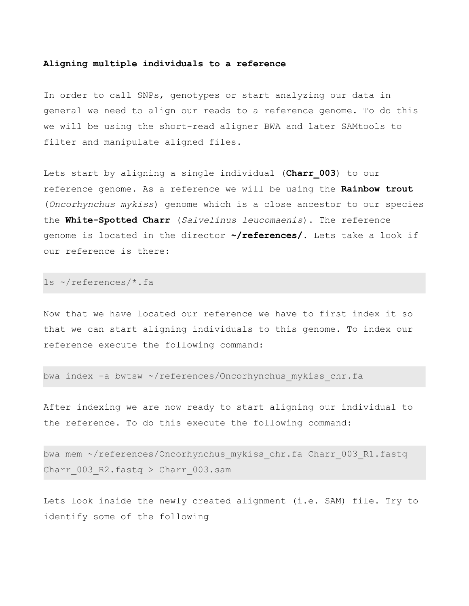#### **Aligning multiple individuals to a reference**

In order to call SNPs, genotypes or start analyzing our data in general we need to align our reads to a reference genome. To do this we will be using the short-read aligner BWA and later SAMtools to filter and manipulate aligned files.

Lets start by aligning a single individual (Charr 003) to our reference genome. As a reference we will be using the **Rainbow trout** (*Oncorhynchus mykiss*) genome which is a close ancestor to our species the **White-Spotted Charr** (*Salvelinus leucomaenis*). The reference genome is located in the director **~/references/**. Lets take a look if our reference is there:

ls ~/references/\*.fa

Now that we have located our reference we have to first index it so that we can start aligning individuals to this genome. To index our reference execute the following command:

bwa index -a bwtsw ~/references/Oncorhynchus mykiss chr.fa

After indexing we are now ready to start aligning our individual to the reference. To do this execute the following command:

bwa mem ~/references/Oncorhynchus mykiss chr.fa Charr 003 R1.fastq Charr  $003$  R2.fastq > Charr  $003$ .sam

Lets look inside the newly created alignment (i.e. SAM) file. Try to identify some of the following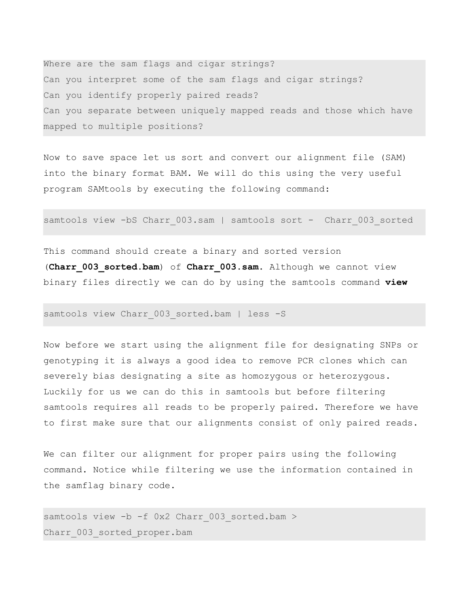Where are the sam flags and cigar strings? Can you interpret some of the sam flags and cigar strings? Can you identify properly paired reads? Can you separate between uniquely mapped reads and those which have mapped to multiple positions?

Now to save space let us sort and convert our alignment file (SAM) into the binary format BAM. We will do this using the very useful program SAMtools by executing the following command:

samtools view -bS Charr 003.sam | samtools sort - Charr 003 sorted

This command should create a binary and sorted version (**Charr\_003\_sorted.bam**) of **Charr\_003.sam**. Although we cannot view binary files directly we can do by using the samtools command **view**

## samtools view Charr 003 sorted.bam | less -S

Now before we start using the alignment file for designating SNPs or genotyping it is always a good idea to remove PCR clones which can severely bias designating a site as homozygous or heterozygous. Luckily for us we can do this in samtools but before filtering samtools requires all reads to be properly paired. Therefore we have to first make sure that our alignments consist of only paired reads.

We can filter our alignment for proper pairs using the following command. Notice while filtering we use the information contained in the samflag binary code.

samtools view -b -f 0x2 Charr 003 sorted.bam > Charr 003 sorted proper.bam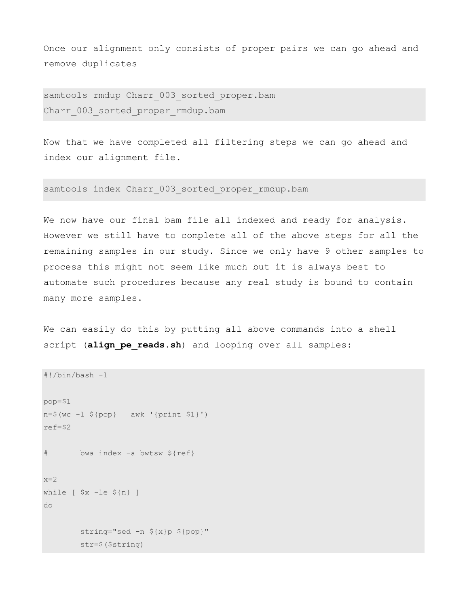Once our alignment only consists of proper pairs we can go ahead and remove duplicates

samtools rmdup Charr 003 sorted proper.bam Charr 003 sorted proper rmdup.bam

Now that we have completed all filtering steps we can go ahead and index our alignment file.

samtools index Charr 003 sorted proper rmdup.bam

We now have our final bam file all indexed and ready for analysis. However we still have to complete all of the above steps for all the remaining samples in our study. Since we only have 9 other samples to process this might not seem like much but it is always best to automate such procedures because any real study is bound to contain many more samples.

We can easily do this by putting all above commands into a shell script (align pe reads.sh) and looping over all samples:

```
#!/bin/bash -l
pop=$1
n=$(wc -l ${pop} | awk '{print $1}')
ref=$2
# bwa index -a bwtsw ${ref}
x=2while [ $x -le ${n} ] 
do
         string="sed -n ${x}p ${pop}"
         str=$($string)
```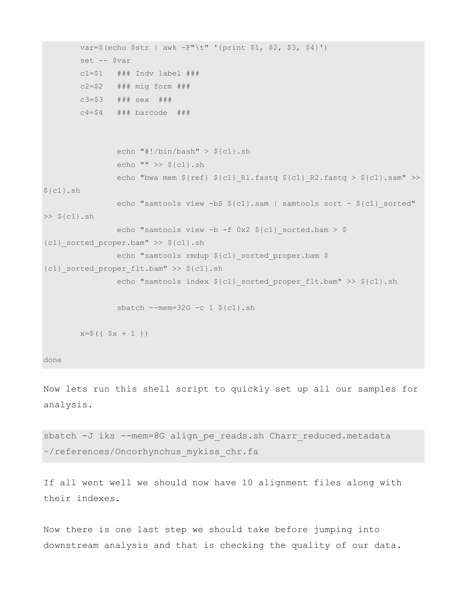```
 var=$(echo $str | awk -F"\t" '{print $1, $2, $3, $4}')
         set -- $var
        c1 = $1 ### Indv label ###
         c2=$2 ### mig form ###
         c3=$3 ### sex ###
         c4=$4 ### barcode ###
                 echo "#!/bin/bash" > ${c1}.sh
                 echo "" >> ${c1}.sh
                echo "bwa mem \S{\ref} \S{cl} R1.fastq \S{cl} R2.fastq > \S{cl}.sam" >>
${c1}.shecho "samtools view -bS ${c1}.sam | samtools sort - ${c1} sorted"
\gg ${cl}.shecho "samtools view -b -f 0x2 \; \xi(c1) sorted.bam > $
{c1}_sorted_proper.bam" >> ${c1}.sh
                echo "samtools rmdup ${c1} sorted proper.bam $
{c1}_sorted_proper_flt.bam" >> ${c1}.sh
                echo "samtools index ${c1} sorted proper flt.bam" >> ${c1}.sh
                sbatch --mem=32G -c 1 \S[c1].sh
       x=5 (( 5x + 1 ))
done
```
Now lets run this shell script to quickly set up all our samples for analysis.

sbatch -J iks --mem=8G align pe reads.sh Charr reduced.metadata ~/references/Oncorhynchus\_mykiss\_chr.fa

If all went well we should now have 10 alignment files along with their indexes.

Now there is one last step we should take before jumping into downstream analysis and that is checking the quality of our data.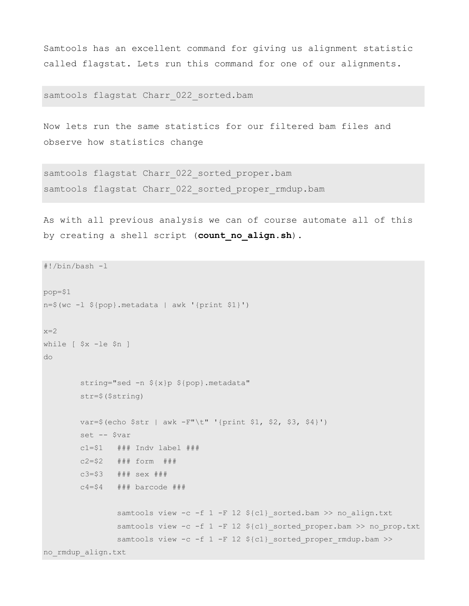Samtools has an excellent command for giving us alignment statistic called flagstat. Lets run this command for one of our alignments.

samtools flagstat Charr 022 sorted.bam

Now lets run the same statistics for our filtered bam files and observe how statistics change

samtools flagstat Charr 022 sorted proper.bam samtools flagstat Charr 022 sorted proper rmdup.bam

As with all previous analysis we can of course automate all of this by creating a shell script (**count\_no\_align.sh**).

```
#!/bin/bash -l
pop=$1
n=$(wc -l ${pop}.metadata | awk '{print $1}')
x=2while [ $x -le $n ] 
do
         string="sed -n ${x}p ${pop}.metadata"
         str=$($string)
         var=$(echo $str | awk -F"\t" '{print $1, $2, $3, $4}')
         set -- $var
        c1 = $1 ### Indv label ###
         c2=$2 ### form ###
         c3=$3 ### sex ###
       c4 = $4 ### barcode ###
                samtools view -c -f 1 -F 12 ${c1} sorted.bam >> no align.txt
                samtools view -c -f 1 -F 12 ${c1} sorted proper.bam >> no prop.txt
                samtools view -c -f 1 -F 12 ${c1} sorted proper rmdup.bam >>
no_rmdup_align.txt
```